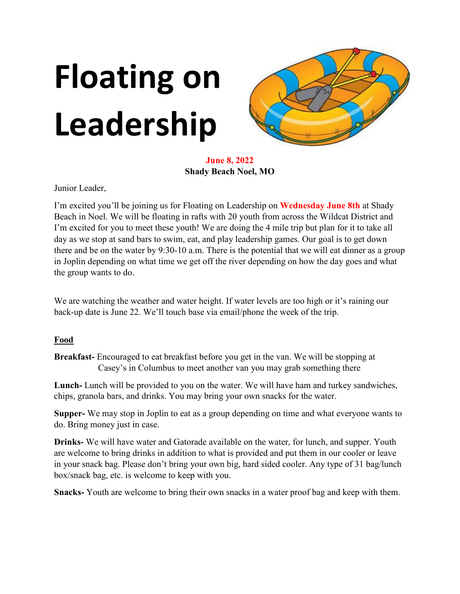# **Floating on Leadership**



**June 8, 2022 Shady Beach Noel, MO**

Junior Leader,

I'm excited you'll be joining us for Floating on Leadership on **Wednesday June 8th** at Shady Beach in Noel. We will be floating in rafts with 20 youth from across the Wildcat District and I'm excited for you to meet these youth! We are doing the 4 mile trip but plan for it to take all day as we stop at sand bars to swim, eat, and play leadership games. Our goal is to get down there and be on the water by 9:30-10 a.m. There is the potential that we will eat dinner as a group in Joplin depending on what time we get off the river depending on how the day goes and what the group wants to do.

We are watching the weather and water height. If water levels are too high or it's raining our back-up date is June 22. We'll touch base via email/phone the week of the trip.

#### **Food**

**Breakfast-** Encouraged to eat breakfast before you get in the van. We will be stopping at Casey's in Columbus to meet another van you may grab something there

**Lunch-** Lunch will be provided to you on the water. We will have ham and turkey sandwiches, chips, granola bars, and drinks. You may bring your own snacks for the water.

**Supper-** We may stop in Joplin to eat as a group depending on time and what everyone wants to do. Bring money just in case.

**Drinks-** We will have water and Gatorade available on the water, for lunch, and supper. Youth are welcome to bring drinks in addition to what is provided and put them in our cooler or leave in your snack bag. Please don't bring your own big, hard sided cooler. Any type of 31 bag/lunch box/snack bag, etc. is welcome to keep with you.

**Snacks-** Youth are welcome to bring their own snacks in a water proof bag and keep with them.